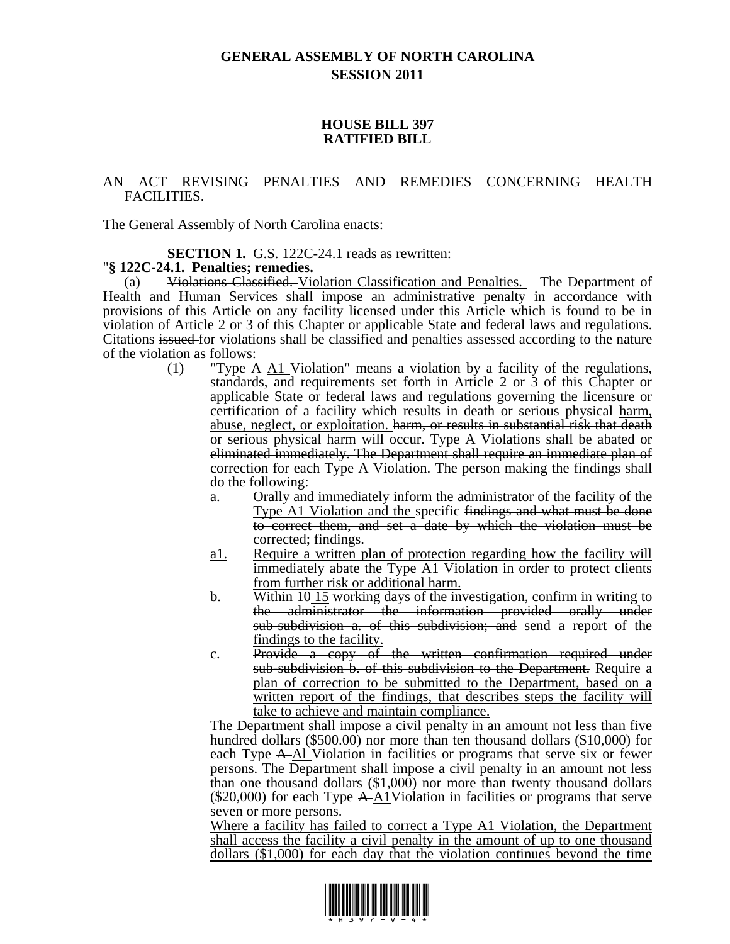# **GENERAL ASSEMBLY OF NORTH CAROLINA SESSION 2011**

#### **HOUSE BILL 397 RATIFIED BILL**

### AN ACT REVISING PENALTIES AND REMEDIES CONCERNING HEALTH FACILITIES.

The General Assembly of North Carolina enacts:

#### **SECTION 1.** G.S. 122C-24.1 reads as rewritten:

## "**§ 122C-24.1. Penalties; remedies.**

(a) Violations Classified. Violation Classification and Penalties. – The Department of Health and Human Services shall impose an administrative penalty in accordance with provisions of this Article on any facility licensed under this Article which is found to be in violation of Article 2 or 3 of this Chapter or applicable State and federal laws and regulations. Citations issued for violations shall be classified and penalties assessed according to the nature of the violation as follows:

- (1) "Type  $A \rightarrow A1$  Violation" means a violation by a facility of the regulations, standards, and requirements set forth in Article 2 or 3 of this Chapter or applicable State or federal laws and regulations governing the licensure or certification of a facility which results in death or serious physical harm, abuse, neglect, or exploitation. harm, or results in substantial risk that death or serious physical harm will occur. Type A Violations shall be abated or eliminated immediately. The Department shall require an immediate plan of correction for each Type A Violation. The person making the findings shall do the following:
	- a. Orally and immediately inform the administrator of the facility of the Type A1 Violation and the specific findings and what must be done to correct them, and set a date by which the violation must be corrected; findings.
	- a1. Require a written plan of protection regarding how the facility will immediately abate the Type A1 Violation in order to protect clients from further risk or additional harm.
	- b. Within  $\overline{10}$  We N is working days of the investigation, confirm in writing to the administrator the information provided orally under sub-subdivision a. of this subdivision; and send a report of the findings to the facility.
	- c. Provide a copy of the written confirmation required under sub-subdivision b. of this subdivision to the Department. Require a plan of correction to be submitted to the Department, based on a written report of the findings, that describes steps the facility will take to achieve and maintain compliance.

The Department shall impose a civil penalty in an amount not less than five hundred dollars (\$500.00) nor more than ten thousand dollars (\$10,000) for each Type A Al Violation in facilities or programs that serve six or fewer persons. The Department shall impose a civil penalty in an amount not less than one thousand dollars (\$1,000) nor more than twenty thousand dollars (\$20,000) for each Type  $A\rightarrow\Delta 1$ Violation in facilities or programs that serve seven or more persons.

Where a facility has failed to correct a Type A1 Violation, the Department shall access the facility a civil penalty in the amount of up to one thousand dollars (\$1,000) for each day that the violation continues beyond the time

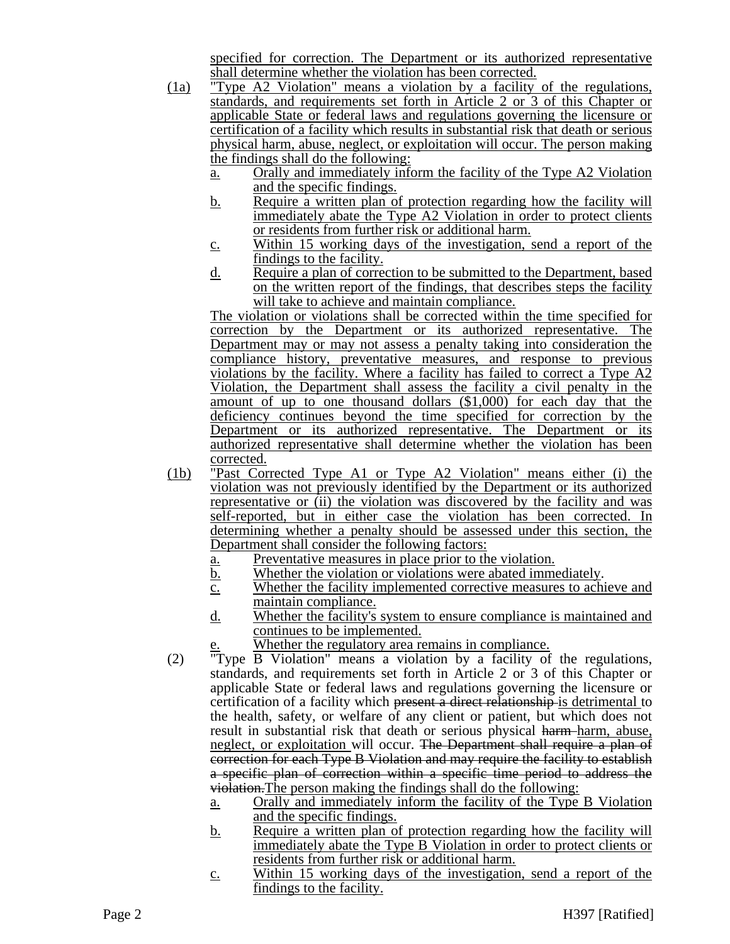specified for correction. The Department or its authorized representative shall determine whether the violation has been corrected.

- (1a) "Type A2 Violation" means a violation by a facility of the regulations, standards, and requirements set forth in Article 2 or 3 of this Chapter or applicable State or federal laws and regulations governing the licensure or certification of a facility which results in substantial risk that death or serious physical harm, abuse, neglect, or exploitation will occur. The person making the findings shall do the following:
	- a. Orally and immediately inform the facility of the Type A2 Violation and the specific findings.
	- b. Require a written plan of protection regarding how the facility will immediately abate the Type A2 Violation in order to protect clients or residents from further risk or additional harm.
	- c. Within 15 working days of the investigation, send a report of the findings to the facility.
	- d. Require a plan of correction to be submitted to the Department, based on the written report of the findings, that describes steps the facility will take to achieve and maintain compliance.

The violation or violations shall be corrected within the time specified for correction by the Department or its authorized representative. The Department may or may not assess a penalty taking into consideration the compliance history, preventative measures, and response to previous violations by the facility. Where a facility has failed to correct a Type  $A2$ Violation, the Department shall assess the facility a civil penalty in the amount of up to one thousand dollars (\$1,000) for each day that the deficiency continues beyond the time specified for correction by the Department or its authorized representative. The Department or its authorized representative shall determine whether the violation has been corrected.

- (1b) "Past Corrected Type A1 or Type A2 Violation" means either (i) the violation was not previously identified by the Department or its authorized representative or (ii) the violation was discovered by the facility and was self-reported, but in either case the violation has been corrected. In determining whether a penalty should be assessed under this section, the Department shall consider the following factors:
	- a. Preventative measures in place prior to the violation.
	- b. Whether the violation or violations were abated immediately.
	- c. Whether the facility implemented corrective measures to achieve and maintain compliance.
	- d. Whether the facility's system to ensure compliance is maintained and continues to be implemented.
		- Whether the regulatory area remains in compliance.
- (2) "Type B Violation" means a violation by a facility of the regulations, standards, and requirements set forth in Article 2 or 3 of this Chapter or applicable State or federal laws and regulations governing the licensure or certification of a facility which present a direct relationship is detrimental to the health, safety, or welfare of any client or patient, but which does not result in substantial risk that death or serious physical harm-harm, abuse, neglect, or exploitation will occur. The Department shall require a plan of correction for each Type B Violation and may require the facility to establish a specific plan of correction within a specific time period to address the violation.The person making the findings shall do the following:
	- a. Orally and immediately inform the facility of the Type B Violation and the specific findings.
	- b. Require a written plan of protection regarding how the facility will immediately abate the Type B Violation in order to protect clients or residents from further risk or additional harm.
	- c. Within 15 working days of the investigation, send a report of the findings to the facility.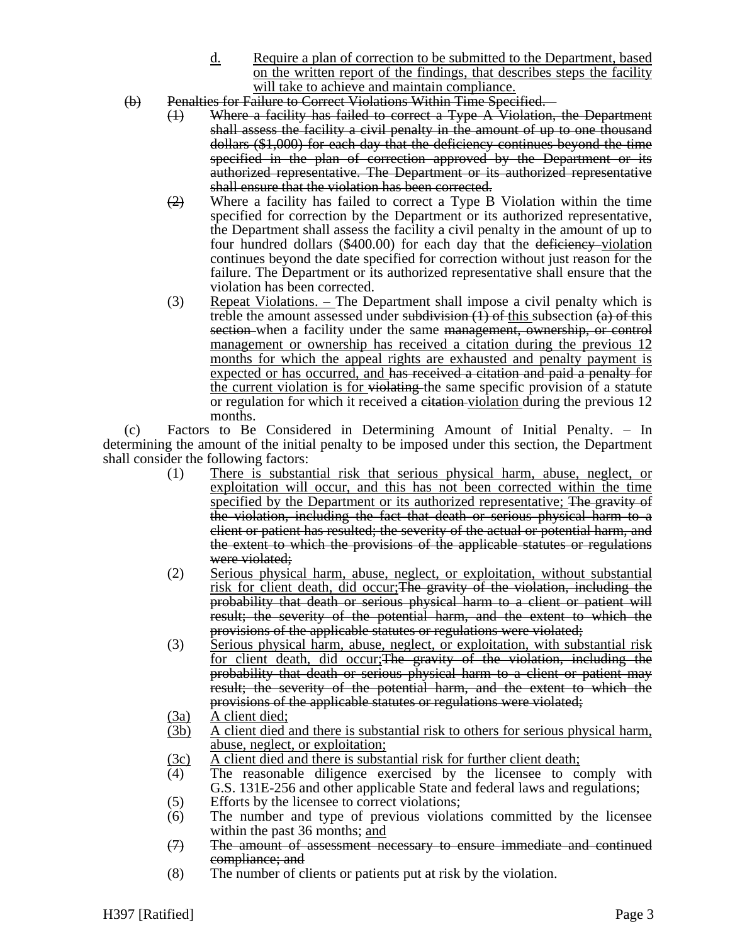- d. Require a plan of correction to be submitted to the Department, based on the written report of the findings, that describes steps the facility will take to achieve and maintain compliance.
- (b) Penalties for Failure to Correct Violations Within Time Specified.
	- (1) Where a facility has failed to correct a Type A Violation, the Department shall assess the facility a civil penalty in the amount of up to one thousand dollars (\$1,000) for each day that the deficiency continues beyond the time specified in the plan of correction approved by the Department or its authorized representative. The Department or its authorized representative shall ensure that the violation has been corrected.
	- $\left(2\right)$  Where a facility has failed to correct a Type B Violation within the time specified for correction by the Department or its authorized representative, the Department shall assess the facility a civil penalty in the amount of up to four hundred dollars  $(\$400.00)$  for each day that the deficiency-violation continues beyond the date specified for correction without just reason for the failure. The Department or its authorized representative shall ensure that the violation has been corrected.
	- (3) Repeat Violations. The Department shall impose a civil penalty which is treble the amount assessed under subdivision  $(1)$  of this subsection  $(a)$  of this section when a facility under the same management, ownership, or control management or ownership has received a citation during the previous 12 months for which the appeal rights are exhausted and penalty payment is expected or has occurred, and has received a citation and paid a penalty for the current violation is for violating the same specific provision of a statute or regulation for which it received a citation-violation during the previous 12 months.

(c) Factors to Be Considered in Determining Amount of Initial Penalty. – In determining the amount of the initial penalty to be imposed under this section, the Department shall consider the following factors:

- (1) There is substantial risk that serious physical harm, abuse, neglect, or exploitation will occur, and this has not been corrected within the time specified by the Department or its authorized representative; The gravity of the violation, including the fact that death or serious physical harm to a client or patient has resulted; the severity of the actual or potential harm, and the extent to which the provisions of the applicable statutes or regulations were violated;
- (2) Serious physical harm, abuse, neglect, or exploitation, without substantial risk for client death, did occur; The gravity of the violation, including the probability that death or serious physical harm to a client or patient will result; the severity of the potential harm, and the extent to which the provisions of the applicable statutes or regulations were violated;
- (3) Serious physical harm, abuse, neglect, or exploitation, with substantial risk for client death, did occur; The gravity of the violation, including the probability that death or serious physical harm to a client or patient may result; the severity of the potential harm, and the extent to which the provisions of the applicable statutes or regulations were violated;
- (3a) A client died;
- (3b) A client died and there is substantial risk to others for serious physical harm, abuse, neglect, or exploitation;
- $\frac{3c}{4}$  A client died and there is substantial risk for further client death;<br>(4) The reasonable diligence exercised by the licensee to co
- The reasonable diligence exercised by the licensee to comply with G.S. 131E-256 and other applicable State and federal laws and regulations;
- (5) Efforts by the licensee to correct violations;
- (6) The number and type of previous violations committed by the licensee within the past 36 months; and
- (7) The amount of assessment necessary to ensure immediate and continued compliance; and
- (8) The number of clients or patients put at risk by the violation.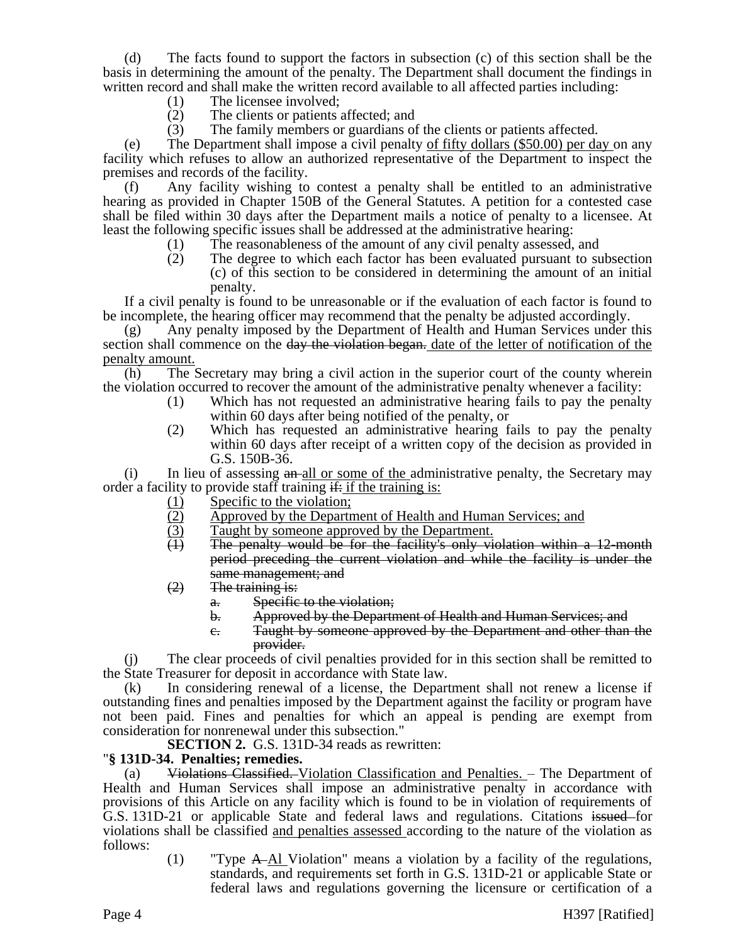(d) The facts found to support the factors in subsection (c) of this section shall be the basis in determining the amount of the penalty. The Department shall document the findings in written record and shall make the written record available to all affected parties including:

- (1) The licensee involved;
- (2) The clients or patients affected; and
- (3) The family members or guardians of the clients or patients affected.

(e) The Department shall impose a civil penalty of fifty dollars (\$50.00) per day on any facility which refuses to allow an authorized representative of the Department to inspect the premises and records of the facility.

(f) Any facility wishing to contest a penalty shall be entitled to an administrative hearing as provided in Chapter 150B of the General Statutes. A petition for a contested case shall be filed within 30 days after the Department mails a notice of penalty to a licensee. At least the following specific issues shall be addressed at the administrative hearing:

- (1) The reasonableness of the amount of any civil penalty assessed, and
- (2) The degree to which each factor has been evaluated pursuant to subsection (c) of this section to be considered in determining the amount of an initial penalty.

If a civil penalty is found to be unreasonable or if the evaluation of each factor is found to be incomplete, the hearing officer may recommend that the penalty be adjusted accordingly.

(g) Any penalty imposed by the Department of Health and Human Services under this section shall commence on the day the violation began. date of the letter of notification of the penalty amount.

(h) The Secretary may bring a civil action in the superior court of the county wherein the violation occurred to recover the amount of the administrative penalty whenever a facility:

- (1) Which has not requested an administrative hearing fails to pay the penalty within 60 days after being notified of the penalty, or
- (2) Which has requested an administrative hearing fails to pay the penalty within 60 days after receipt of a written copy of the decision as provided in G.S. 150B-36.

 $(i)$  In lieu of assessing  $an$ -all or some of the administrative penalty, the Secretary may order a facility to provide staff training  $\frac{d}{dx}$  if the training is:

- 
- (1) Specific to the violation;<br>(2) Approved by the Depart (2) Approved by the Department of Health and Human Services; and Taught by someone approved by the Department.
- $\frac{1}{(1)}$  Taught by someone approved by the Department.<br>
The penalty would be for the facility's only vi
- The penalty would be for the facility's only violation within a 12-month period preceding the current violation and while the facility is under the same management; and
- $(2)$  The training is:
	- a. Specific to the violation;
	- b. Approved by the Department of Health and Human Services; and
	- c. Taught by someone approved by the Department and other than the provider.

(j) The clear proceeds of civil penalties provided for in this section shall be remitted to the State Treasurer for deposit in accordance with State law.

(k) In considering renewal of a license, the Department shall not renew a license if outstanding fines and penalties imposed by the Department against the facility or program have not been paid. Fines and penalties for which an appeal is pending are exempt from consideration for nonrenewal under this subsection."

**SECTION 2.** G.S. 131D-34 reads as rewritten:

## "**§ 131D-34. Penalties; remedies.**

(a) Violations Classified. Violation Classification and Penalties. – The Department of Health and Human Services shall impose an administrative penalty in accordance with provisions of this Article on any facility which is found to be in violation of requirements of G.S. 131D-21 or applicable State and federal laws and regulations. Citations issued for violations shall be classified and penalties assessed according to the nature of the violation as follows:

> (1) "Type A Al Violation" means a violation by a facility of the regulations, standards, and requirements set forth in G.S. 131D-21 or applicable State or federal laws and regulations governing the licensure or certification of a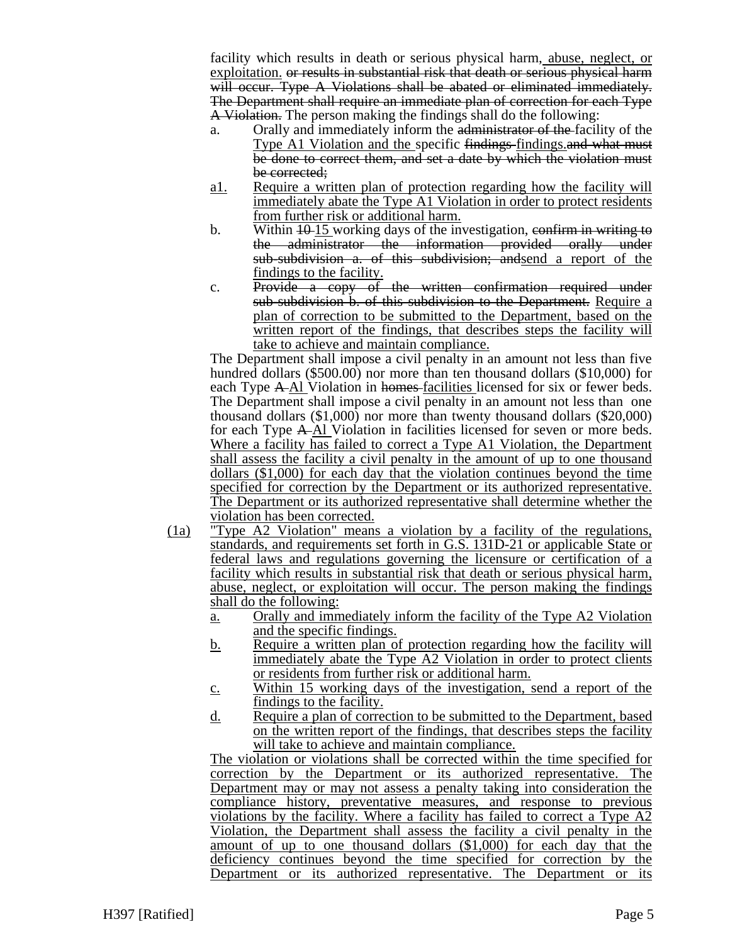facility which results in death or serious physical harm, abuse, neglect, or exploitation. or results in substantial risk that death or serious physical harm will occur. Type A Violations shall be abated or eliminated immediately. The Department shall require an immediate plan of correction for each Type A Violation. The person making the findings shall do the following:

- a. Orally and immediately inform the administrator of the facility of the Type A1 Violation and the specific findings-findings. and what must be done to correct them, and set a date by which the violation must be corrected;
- a1. Require a written plan of protection regarding how the facility will immediately abate the Type A1 Violation in order to protect residents from further risk or additional harm.
- b. Within  $10-15$  working days of the investigation, confirm in writing to the administrator the information provided orally under sub-subdivision a. of this subdivision; andsend a report of the findings to the facility.
- c. Provide a copy of the written confirmation required under sub-subdivision b. of this subdivision to the Department. Require a plan of correction to be submitted to the Department, based on the written report of the findings, that describes steps the facility will take to achieve and maintain compliance.

The Department shall impose a civil penalty in an amount not less than five hundred dollars (\$500.00) nor more than ten thousand dollars (\$10,000) for each Type A-Al Violation in homes-facilities licensed for six or fewer beds. The Department shall impose a civil penalty in an amount not less than one thousand dollars (\$1,000) nor more than twenty thousand dollars (\$20,000) for each Type A Al Violation in facilities licensed for seven or more beds. Where a facility has failed to correct a Type A1 Violation, the Department shall assess the facility a civil penalty in the amount of up to one thousand dollars (\$1,000) for each day that the violation continues beyond the time specified for correction by the Department or its authorized representative. The Department or its authorized representative shall determine whether the violation has been corrected.

- (1a) "Type A2 Violation" means a violation by a facility of the regulations, standards, and requirements set forth in G.S. 131D-21 or applicable State or federal laws and regulations governing the licensure or certification of a facility which results in substantial risk that death or serious physical harm, abuse, neglect, or exploitation will occur. The person making the findings shall do the following:
	- a. Orally and immediately inform the facility of the Type A2 Violation and the specific findings.
	- b. Require a written plan of protection regarding how the facility will immediately abate the Type A2 Violation in order to protect clients or residents from further risk or additional harm.
	- c. Within 15 working days of the investigation, send a report of the findings to the facility.
	- d. Require a plan of correction to be submitted to the Department, based on the written report of the findings, that describes steps the facility will take to achieve and maintain compliance.

The violation or violations shall be corrected within the time specified for correction by the Department or its authorized representative. The Department may or may not assess a penalty taking into consideration the compliance history, preventative measures, and response to previous violations by the facility. Where a facility has failed to correct a Type A2 Violation, the Department shall assess the facility a civil penalty in the amount of up to one thousand dollars (\$1,000) for each day that the deficiency continues beyond the time specified for correction by the Department or its authorized representative. The Department or its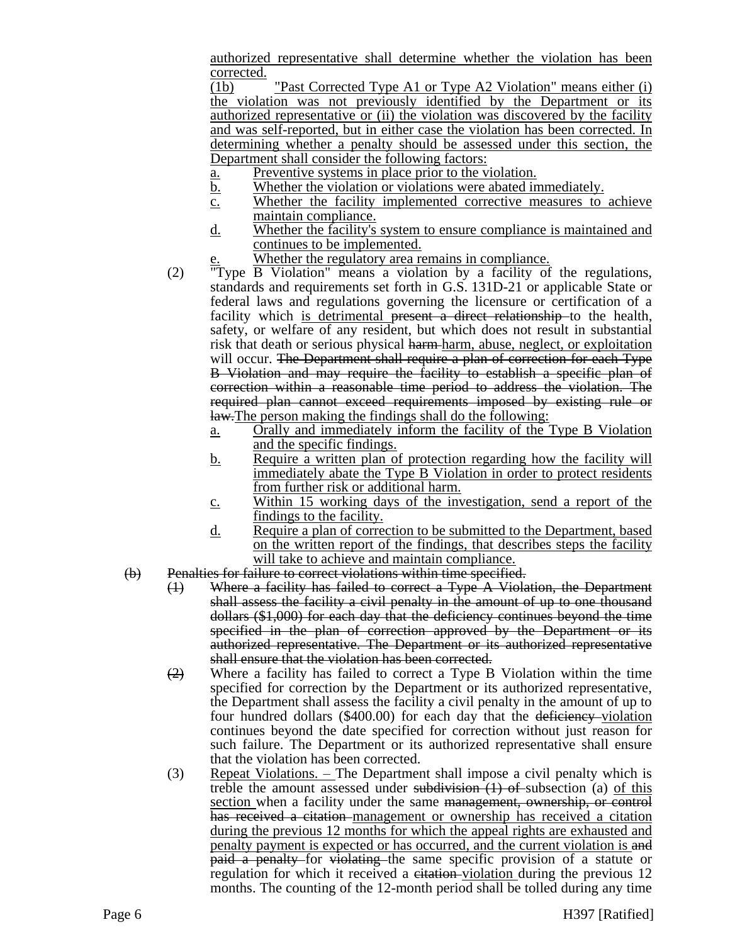authorized representative shall determine whether the violation has been corrected.

(1b) "Past Corrected Type A1 or Type A2 Violation" means either (i) the violation was not previously identified by the Department or its authorized representative or (ii) the violation was discovered by the facility and was self-reported, but in either case the violation has been corrected. In determining whether a penalty should be assessed under this section, the Department shall consider the following factors:

- a. Preventive systems in place prior to the violation.
- b. Whether the violation or violations were abated immediately.
- c. Whether the facility implemented corrective measures to achieve maintain compliance.
- d. Whether the facility's system to ensure compliance is maintained and continues to be implemented.
	- Whether the regulatory area remains in compliance.
- (2) "Type B Violation" means a violation by a facility of the regulations, standards and requirements set forth in G.S. 131D-21 or applicable State or federal laws and regulations governing the licensure or certification of a facility which is detrimental present a direct relationship to the health, safety, or welfare of any resident, but which does not result in substantial risk that death or serious physical harm-harm, abuse, neglect, or exploitation will occur. The Department shall require a plan of correction for each Type B Violation and may require the facility to establish a specific plan of correction within a reasonable time period to address the violation. The required plan cannot exceed requirements imposed by existing rule or law.The person making the findings shall do the following:
	- a. Orally and immediately inform the facility of the Type B Violation and the specific findings.
	- b. Require a written plan of protection regarding how the facility will immediately abate the Type B Violation in order to protect residents from further risk or additional harm.
	- c. Within 15 working days of the investigation, send a report of the findings to the facility.
	- d. Require a plan of correction to be submitted to the Department, based on the written report of the findings, that describes steps the facility will take to achieve and maintain compliance.
- (b) Penalties for failure to correct violations within time specified.
	- (1) Where a facility has failed to correct a Type A Violation, the Department shall assess the facility a civil penalty in the amount of up to one thousand dollars (\$1,000) for each day that the deficiency continues beyond the time specified in the plan of correction approved by the Department or its authorized representative. The Department or its authorized representative shall ensure that the violation has been corrected.
	- $\left(2\right)$  Where a facility has failed to correct a Type B Violation within the time specified for correction by the Department or its authorized representative, the Department shall assess the facility a civil penalty in the amount of up to four hundred dollars (\$400.00) for each day that the deficiency violation continues beyond the date specified for correction without just reason for such failure. The Department or its authorized representative shall ensure that the violation has been corrected.
	- (3) Repeat Violations. The Department shall impose a civil penalty which is treble the amount assessed under subdivision  $(1)$  of subsection (a) of this section when a facility under the same management, ownership, or control has received a citation management or ownership has received a citation during the previous 12 months for which the appeal rights are exhausted and penalty payment is expected or has occurred, and the current violation is and paid a penalty for violating the same specific provision of a statute or regulation for which it received a citation-violation during the previous 12 months. The counting of the 12-month period shall be tolled during any time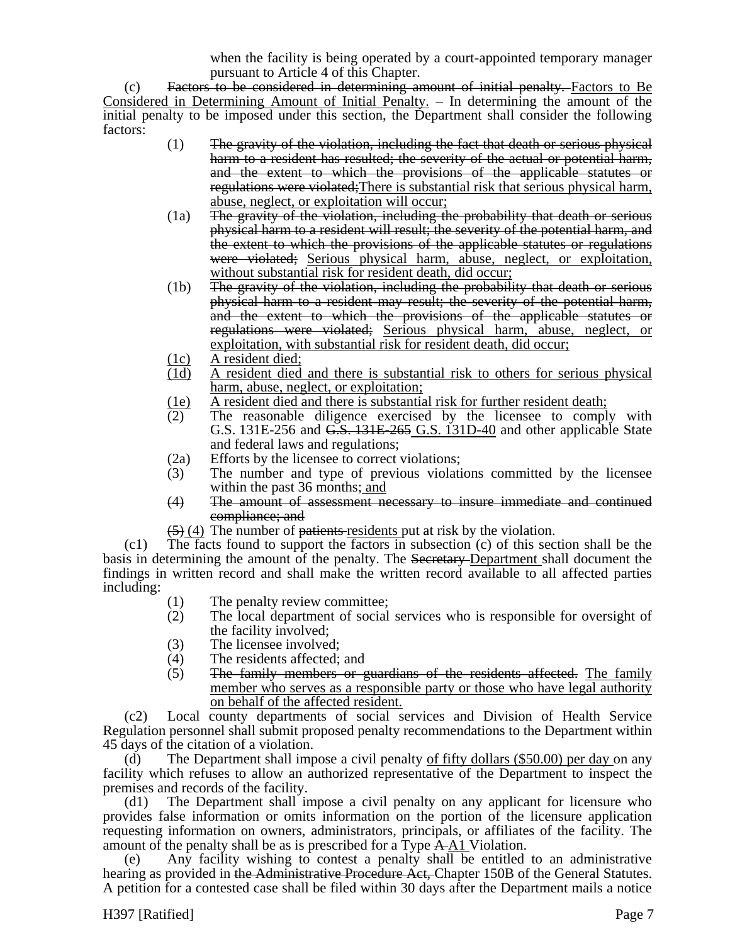when the facility is being operated by a court-appointed temporary manager pursuant to Article 4 of this Chapter.

(c) Factors to be considered in determining amount of initial penalty. Factors to Be Considered in Determining Amount of Initial Penalty. – In determining the amount of the initial penalty to be imposed under this section, the Department shall consider the following factors:

- (1) The gravity of the violation, including the fact that death or serious physical harm to a resident has resulted; the severity of the actual or potential harm, and the extent to which the provisions of the applicable statutes or regulations were violated;There is substantial risk that serious physical harm, abuse, neglect, or exploitation will occur;
- (1a) The gravity of the violation, including the probability that death or serious physical harm to a resident will result; the severity of the potential harm, and the extent to which the provisions of the applicable statutes or regulations were violated; Serious physical harm, abuse, neglect, or exploitation, without substantial risk for resident death, did occur;
- (1b) The gravity of the violation, including the probability that death or serious physical harm to a resident may result; the severity of the potential harm, and the extent to which the provisions of the applicable statutes or regulations were violated; Serious physical harm, abuse, neglect, or exploitation, with substantial risk for resident death, did occur;
- 
- $\frac{(1c)}{(1d)}$  A resident died; A resident died and there is substantial risk to others for serious physical harm, abuse, neglect, or exploitation;
- (1e) A resident died and there is substantial risk for further resident death;
- (2) The reasonable diligence exercised by the licensee to comply with G.S. 131E-256 and <del>G.S. 131E-265</del> G.S. 131D-40 and other applicable State and federal laws and regulations;
- (2a) Efforts by the licensee to correct violations;
- (3) The number and type of previous violations committed by the licensee within the past 36 months; and
- (4) The amount of assessment necessary to insure immediate and continued compliance; and
- $(5)$  (4) The number of <del>patients</del> residents put at risk by the violation.

(c1) The facts found to support the factors in subsection (c) of this section shall be the basis in determining the amount of the penalty. The Secretary-Department shall document the findings in written record and shall make the written record available to all affected parties including:

- (1) The penalty review committee;
- (2) The local department of social services who is responsible for oversight of the facility involved;
- (3) The licensee involved;
- (4) The residents affected; and
- (5) The family members or guardians of the residents affected. The family member who serves as a responsible party or those who have legal authority on behalf of the affected resident.

(c2) Local county departments of social services and Division of Health Service Regulation personnel shall submit proposed penalty recommendations to the Department within 45 days of the citation of a violation.

(d) The Department shall impose a civil penalty of fifty dollars  $(\$50.00)$  per day on any facility which refuses to allow an authorized representative of the Department to inspect the premises and records of the facility.

(d1) The Department shall impose a civil penalty on any applicant for licensure who provides false information or omits information on the portion of the licensure application requesting information on owners, administrators, principals, or affiliates of the facility. The amount of the penalty shall be as is prescribed for a Type A A1 Violation.

(e) Any facility wishing to contest a penalty shall be entitled to an administrative hearing as provided in the Administrative Procedure Act, Chapter 150B of the General Statutes. A petition for a contested case shall be filed within 30 days after the Department mails a notice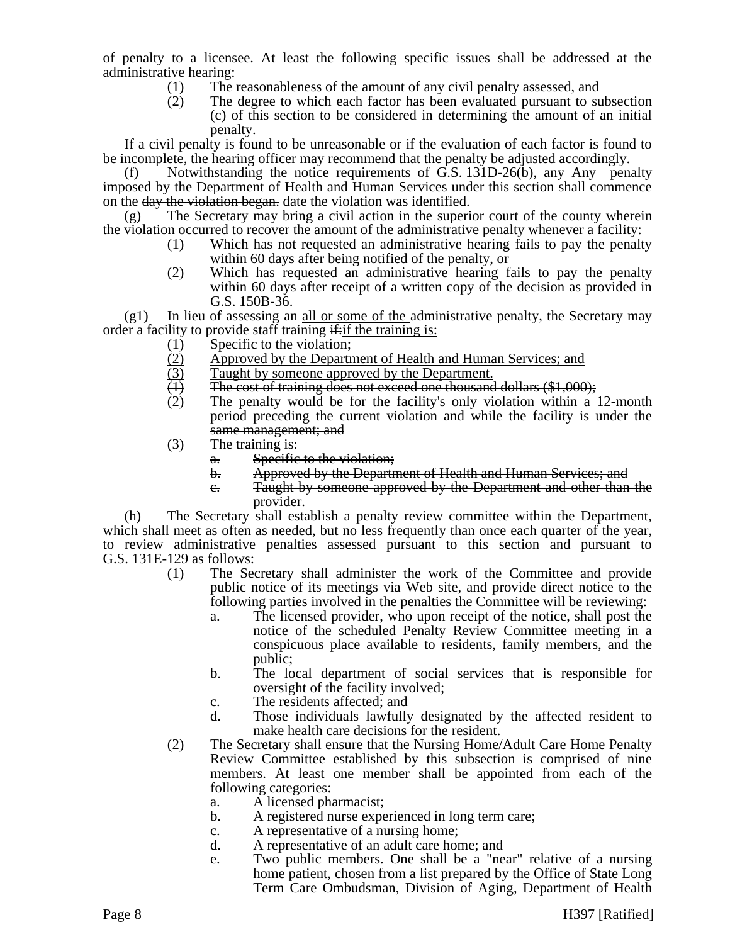of penalty to a licensee. At least the following specific issues shall be addressed at the administrative hearing:

- (1) The reasonableness of the amount of any civil penalty assessed, and
- (2) The degree to which each factor has been evaluated pursuant to subsection (c) of this section to be considered in determining the amount of an initial penalty.

If a civil penalty is found to be unreasonable or if the evaluation of each factor is found to be incomplete, the hearing officer may recommend that the penalty be adjusted accordingly.

(f) Notwithstanding the notice requirements of  $G.S. 131D-26(b)$ , any Any penalty imposed by the Department of Health and Human Services under this section shall commence on the <del>day the violation began.</del> date the violation was identified.

(g) The Secretary may bring a civil action in the superior court of the county wherein the violation occurred to recover the amount of the administrative penalty whenever a facility:

- (1) Which has not requested an administrative hearing fails to pay the penalty within 60 days after being notified of the penalty, or
- (2) Which has requested an administrative hearing fails to pay the penalty within 60 days after receipt of a written copy of the decision as provided in G.S. 150B-36.

 $(g1)$  In lieu of assessing  $a_n$ -all or some of the administrative penalty, the Secretary may order a facility to provide staff training  $\frac{d}{dx}$  if the training is:

- 
- (1) Specific to the violation;<br>(2) Approved by the Depart<br>(3) Taught by someone appr Approved by the Department of Health and Human Services; and
- (3) Taught by someone approved by the Department.<br>
(4) The cost of training does not exceed one thousand
- (1) The cost of training does not exceed one thousand dollars  $(\$1,000)$ ;<br>(2) The penalty would be for the facility's only violation within a
- The penalty would be for the facility's only violation within a 12-month period preceding the current violation and while the facility is under the same management; and
- (3) The training is:
	- a. Specific to the violation;
	- b. Approved by the Department of Health and Human Services; and
	- c. Taught by someone approved by the Department and other than the provider.

(h) The Secretary shall establish a penalty review committee within the Department, which shall meet as often as needed, but no less frequently than once each quarter of the year, to review administrative penalties assessed pursuant to this section and pursuant to G.S. 131E-129 as follows:

- (1) The Secretary shall administer the work of the Committee and provide public notice of its meetings via Web site, and provide direct notice to the following parties involved in the penalties the Committee will be reviewing:
	- a. The licensed provider, who upon receipt of the notice, shall post the notice of the scheduled Penalty Review Committee meeting in a conspicuous place available to residents, family members, and the public;
	- b. The local department of social services that is responsible for oversight of the facility involved;
	- c. The residents affected; and
	- d. Those individuals lawfully designated by the affected resident to make health care decisions for the resident.
- (2) The Secretary shall ensure that the Nursing Home/Adult Care Home Penalty Review Committee established by this subsection is comprised of nine members. At least one member shall be appointed from each of the following categories:
	- a. A licensed pharmacist;
	- b. A registered nurse experienced in long term care;
	- c. A representative of a nursing home;
	- d. A representative of an adult care home; and
	- e. Two public members. One shall be a "near" relative of a nursing home patient, chosen from a list prepared by the Office of State Long Term Care Ombudsman, Division of Aging, Department of Health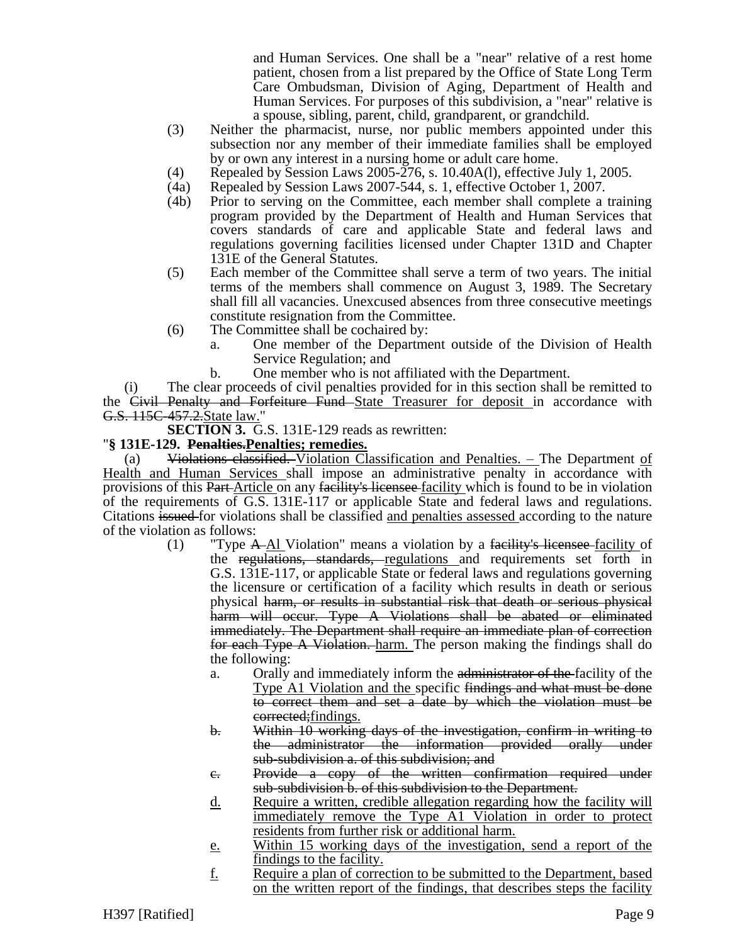and Human Services. One shall be a "near" relative of a rest home patient, chosen from a list prepared by the Office of State Long Term Care Ombudsman, Division of Aging, Department of Health and Human Services. For purposes of this subdivision, a "near" relative is a spouse, sibling, parent, child, grandparent, or grandchild.

- (3) Neither the pharmacist, nurse, nor public members appointed under this subsection nor any member of their immediate families shall be employed by or own any interest in a nursing home or adult care home.
- (4) Repealed by Session Laws 2005-276, s. 10.40A(l), effective July 1, 2005.
- (4a) Repealed by Session Laws 2007-544, s. 1, effective October 1, 2007.
- (4b) Prior to serving on the Committee, each member shall complete a training program provided by the Department of Health and Human Services that covers standards of care and applicable State and federal laws and regulations governing facilities licensed under Chapter 131D and Chapter 131E of the General Statutes.
- (5) Each member of the Committee shall serve a term of two years. The initial terms of the members shall commence on August 3, 1989. The Secretary shall fill all vacancies. Unexcused absences from three consecutive meetings constitute resignation from the Committee.
- (6) The Committee shall be cochaired by:
	- a. One member of the Department outside of the Division of Health Service Regulation; and
	- b. One member who is not affiliated with the Department.

(i) The clear proceeds of civil penalties provided for in this section shall be remitted to the Civil Penalty and Forfeiture Fund State Treasurer for deposit in accordance with G.S. 115C-457.2.State law."

**SECTION 3.** G.S. 131E-129 reads as rewritten:

## "**§ 131E-129. Penalties.Penalties; remedies.**

(a) Violations classified. Violation Classification and Penalties. - The Department of Health and Human Services shall impose an administrative penalty in accordance with provisions of this Part-Article on any facility's licensee facility which is found to be in violation of the requirements of G.S. 131E-117 or applicable State and federal laws and regulations. Citations issued for violations shall be classified and penalties assessed according to the nature of the violation as follows:

- (1) "Type  $A$ -Al Violation" means a violation by a facility's licensee-facility of the regulations, standards, regulations and requirements set forth in G.S. 131E-117, or applicable State or federal laws and regulations governing the licensure or certification of a facility which results in death or serious physical harm, or results in substantial risk that death or serious physical harm will occur. Type A Violations shall be abated or eliminated immediately. The Department shall require an immediate plan of correction for each Type A Violation. harm. The person making the findings shall do the following:
	- a. Orally and immediately inform the administrator of the facility of the Type A1 Violation and the specific findings and what must be done to correct them and set a date by which the violation must be corrected; findings.
	- b. Within 10 working days of the investigation, confirm in writing to the administrator the information provided orally under sub-subdivision a. of this subdivision; and
	- c. Provide a copy of the written confirmation required under sub-subdivision b. of this subdivision to the Department.
	- d. Require a written, credible allegation regarding how the facility will immediately remove the Type A1 Violation in order to protect residents from further risk or additional harm.
	- e. Within 15 working days of the investigation, send a report of the findings to the facility.
	- f. Require a plan of correction to be submitted to the Department, based on the written report of the findings, that describes steps the facility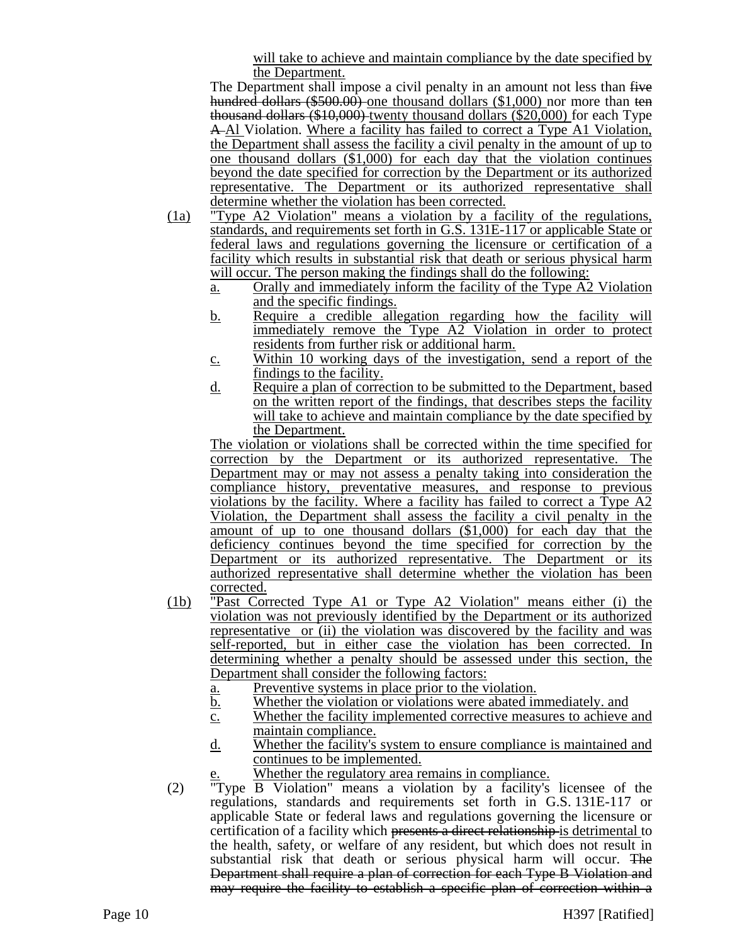will take to achieve and maintain compliance by the date specified by the Department.

The Department shall impose a civil penalty in an amount not less than five hundred dollars (\$500.00) one thousand dollars (\$1,000) nor more than ten thousand dollars (\$10,000) twenty thousand dollars (\$20,000) for each Type A Al Violation. Where a facility has failed to correct a Type A1 Violation, the Department shall assess the facility a civil penalty in the amount of up to one thousand dollars (\$1,000) for each day that the violation continues beyond the date specified for correction by the Department or its authorized representative. The Department or its authorized representative shall determine whether the violation has been corrected.

- (1a) "Type A2 Violation" means a violation by a facility of the regulations, standards, and requirements set forth in G.S. 131E-117 or applicable State or federal laws and regulations governing the licensure or certification of a facility which results in substantial risk that death or serious physical harm will occur. The person making the findings shall do the following:
	- a. Orally and immediately inform the facility of the Type A2 Violation and the specific findings.
	- b. Require a credible allegation regarding how the facility will immediately remove the Type A2 Violation in order to protect residents from further risk or additional harm.
	- c. Within 10 working days of the investigation, send a report of the findings to the facility.
	- d. Require a plan of correction to be submitted to the Department, based on the written report of the findings, that describes steps the facility will take to achieve and maintain compliance by the date specified by the Department.

The violation or violations shall be corrected within the time specified for correction by the Department or its authorized representative. The Department may or may not assess a penalty taking into consideration the compliance history, preventative measures, and response to previous violations by the facility. Where a facility has failed to correct a Type A2 Violation, the Department shall assess the facility a civil penalty in the amount of up to one thousand dollars (\$1,000) for each day that the deficiency continues beyond the time specified for correction by the Department or its authorized representative. The Department or its authorized representative shall determine whether the violation has been corrected.

- (1b) "Past Corrected Type A1 or Type A2 Violation" means either (i) the violation was not previously identified by the Department or its authorized representative or (ii) the violation was discovered by the facility and was self-reported, but in either case the violation has been corrected. In determining whether a penalty should be assessed under this section, the Department shall consider the following factors:
	- a. Preventive systems in place prior to the violation.
	- b. Whether the violation or violations were abated immediately. and
	- c. Whether the facility implemented corrective measures to achieve and maintain compliance.
	- d. Whether the facility's system to ensure compliance is maintained and continues to be implemented.
		- Whether the regulatory area remains in compliance.
- (2) "Type B Violation" means a violation by a facility's licensee of the regulations, standards and requirements set forth in G.S. 131E-117 or applicable State or federal laws and regulations governing the licensure or certification of a facility which presents a direct relationship is detrimental to the health, safety, or welfare of any resident, but which does not result in substantial risk that death or serious physical harm will occur. The Department shall require a plan of correction for each Type B Violation and may require the facility to establish a specific plan of correction within a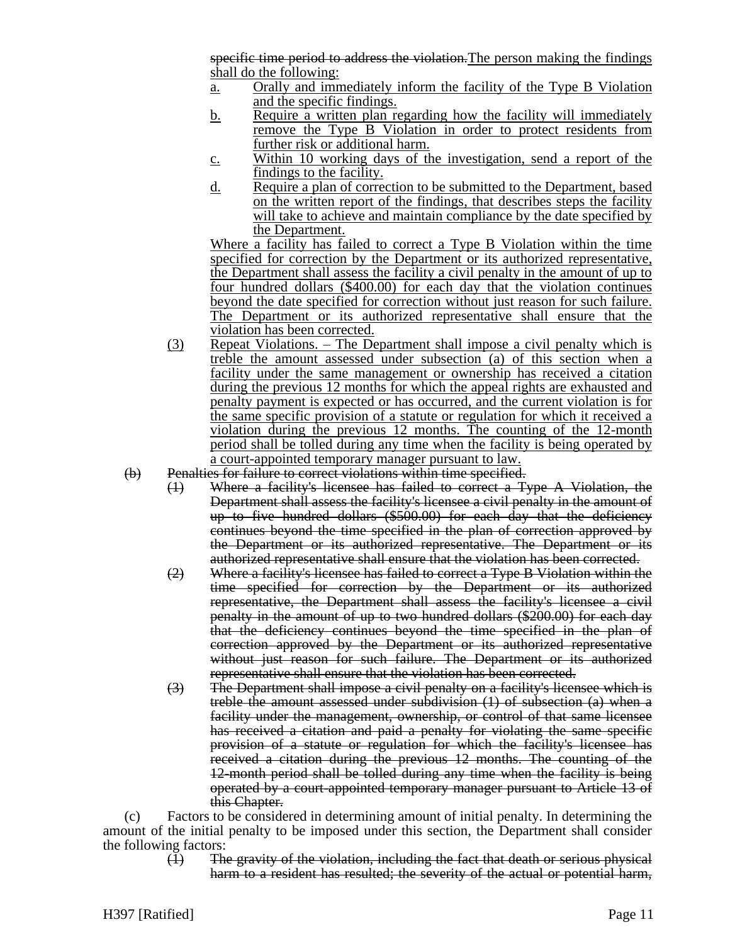specific time period to address the violation. The person making the findings shall do the following:

- a. Orally and immediately inform the facility of the Type B Violation and the specific findings.
- b. Require a written plan regarding how the facility will immediately remove the Type B Violation in order to protect residents from further risk or additional harm.
- c. Within 10 working days of the investigation, send a report of the findings to the facility.
- d. Require a plan of correction to be submitted to the Department, based on the written report of the findings, that describes steps the facility will take to achieve and maintain compliance by the date specified by the Department.

Where a facility has failed to correct a Type B Violation within the time specified for correction by the Department or its authorized representative, the Department shall assess the facility a civil penalty in the amount of up to four hundred dollars (\$400.00) for each day that the violation continues beyond the date specified for correction without just reason for such failure. The Department or its authorized representative shall ensure that the violation has been corrected.

- (3) Repeat Violations. The Department shall impose a civil penalty which is treble the amount assessed under subsection (a) of this section when a facility under the same management or ownership has received a citation during the previous 12 months for which the appeal rights are exhausted and penalty payment is expected or has occurred, and the current violation is for the same specific provision of a statute or regulation for which it received a violation during the previous 12 months. The counting of the 12-month period shall be tolled during any time when the facility is being operated by a court-appointed temporary manager pursuant to law.
- (b) Penalties for failure to correct violations within time specified.
	- (1) Where a facility's licensee has failed to correct a Type A Violation, the Department shall assess the facility's licensee a civil penalty in the amount of up to five hundred dollars (\$500.00) for each day that the deficiency continues beyond the time specified in the plan of correction approved by the Department or its authorized representative. The Department or its authorized representative shall ensure that the violation has been corrected.
	- (2) Where a facility's licensee has failed to correct a Type B Violation within the time specified for correction by the Department or its authorized representative, the Department shall assess the facility's licensee a civil penalty in the amount of up to two hundred dollars (\$200.00) for each day that the deficiency continues beyond the time specified in the plan of correction approved by the Department or its authorized representative without just reason for such failure. The Department or its authorized representative shall ensure that the violation has been corrected.
	- (3) The Department shall impose a civil penalty on a facility's licensee which is treble the amount assessed under subdivision (1) of subsection (a) when a facility under the management, ownership, or control of that same licensee has received a citation and paid a penalty for violating the same specific provision of a statute or regulation for which the facility's licensee has received a citation during the previous 12 months. The counting of the 12-month period shall be tolled during any time when the facility is being operated by a court-appointed temporary manager pursuant to Article 13 of this Chapter.

(c) Factors to be considered in determining amount of initial penalty. In determining the amount of the initial penalty to be imposed under this section, the Department shall consider the following factors:

> (1) The gravity of the violation, including the fact that death or serious physical harm to a resident has resulted; the severity of the actual or potential harm,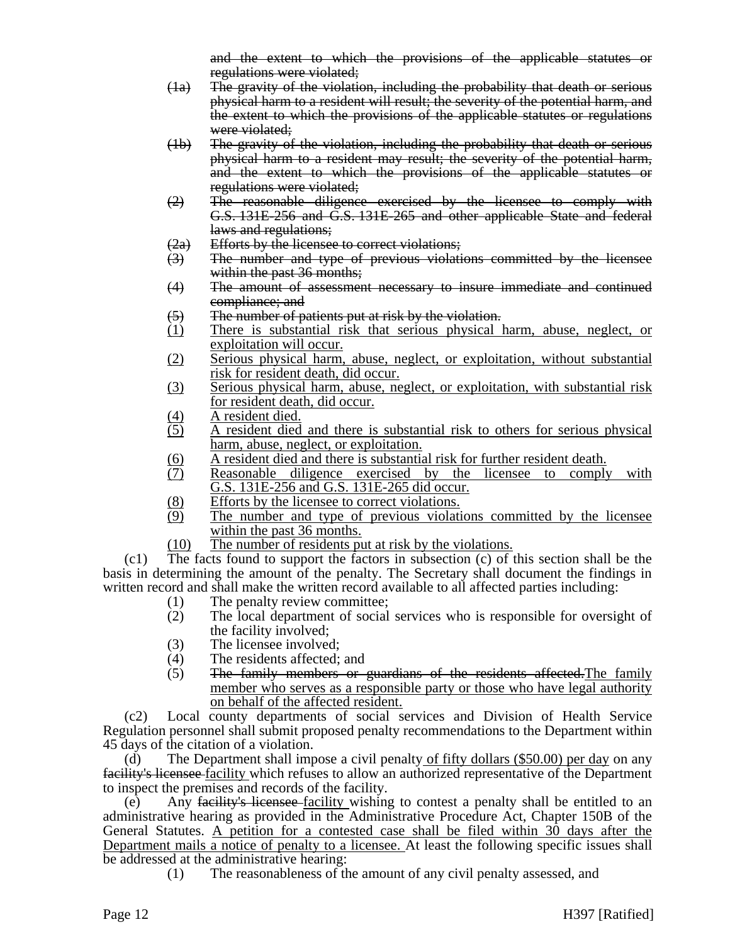and the extent to which the provisions of the applicable statutes or regulations were violated;

- (1a) The gravity of the violation, including the probability that death or serious physical harm to a resident will result; the severity of the potential harm, and the extent to which the provisions of the applicable statutes or regulations were violated;
- (1b) The gravity of the violation, including the probability that death or serious physical harm to a resident may result; the severity of the potential harm, and the extent to which the provisions of the applicable statutes or regulations were violated;
- (2) The reasonable diligence exercised by the licensee to comply with G.S. 131E-256 and G.S. 131E-265 and other applicable State and federal laws and regulations;
- (2a) Efforts by the licensee to correct violations;
- (3) The number and type of previous violations committed by the licensee within the past 36 months;
- (4) The amount of assessment necessary to insure immediate and continued compliance; and
- (5) The number of patients put at risk by the violation.
- (1) There is substantial risk that serious physical harm, abuse, neglect, or exploitation will occur.
- (2) Serious physical harm, abuse, neglect, or exploitation, without substantial risk for resident death, did occur.
- (3) Serious physical harm, abuse, neglect, or exploitation, with substantial risk for resident death, did occur.
- $\frac{(4)}{(5)}$  A resident died.
- (5) A resident died and there is substantial risk to others for serious physical harm, abuse, neglect, or exploitation.
- (6) A resident died and there is substantial risk for further resident death.<br>(7) Reasonable diligence exercised by the licensee to comply
- Reasonable diligence exercised by the licensee to comply with G.S. 131E-256 and G.S. 131E-265 did occur.
- (8) Efforts by the licensee to correct violations.
- (9) The number and type of previous violations committed by the licensee within the past 36 months.
- (10) The number of residents put at risk by the violations.

(c1) The facts found to support the factors in subsection (c) of this section shall be the basis in determining the amount of the penalty. The Secretary shall document the findings in written record and shall make the written record available to all affected parties including:

- (1) The penalty review committee;
- (2) The local department of social services who is responsible for oversight of the facility involved;
- 
- (3) The licensee involved;<br>(4) The residents affected; The residents affected; and
- (5) The family members or guardians of the residents affected.The family member who serves as a responsible party or those who have legal authority on behalf of the affected resident.

(c2) Local county departments of social services and Division of Health Service Regulation personnel shall submit proposed penalty recommendations to the Department within 45 days of the citation of a violation.

(d) The Department shall impose a civil penalty of fifty dollars  $(\$50.00)$  per day on any facility's licensee facility which refuses to allow an authorized representative of the Department to inspect the premises and records of the facility.

Any facility's licensee facility wishing to contest a penalty shall be entitled to an administrative hearing as provided in the Administrative Procedure Act, Chapter 150B of the General Statutes. A petition for a contested case shall be filed within 30 days after the Department mails a notice of penalty to a licensee. At least the following specific issues shall be addressed at the administrative hearing:

(1) The reasonableness of the amount of any civil penalty assessed, and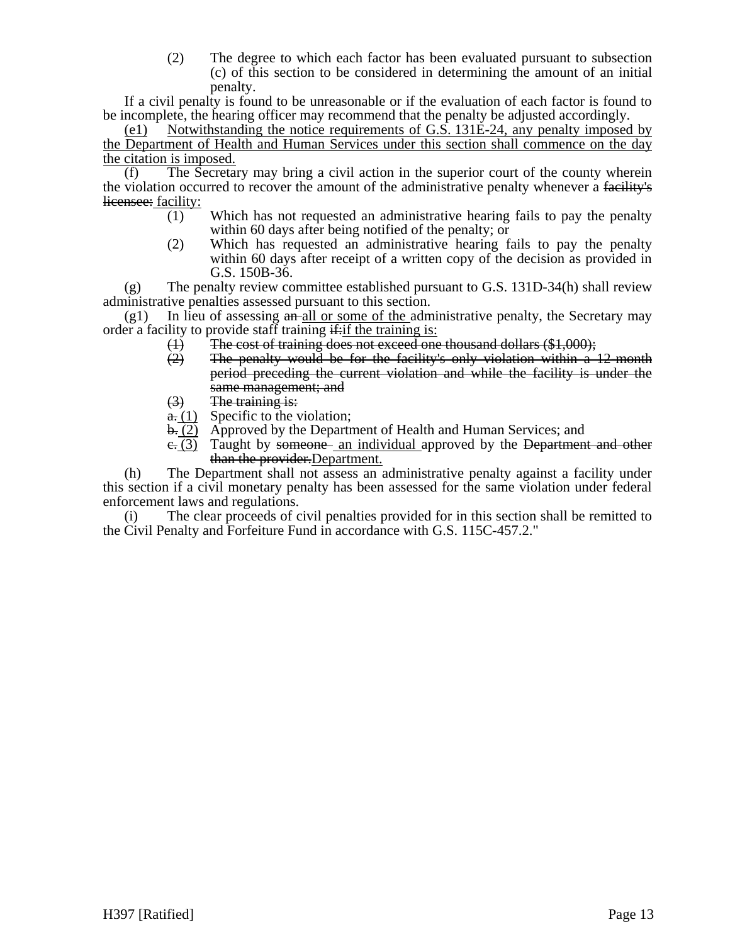(2) The degree to which each factor has been evaluated pursuant to subsection (c) of this section to be considered in determining the amount of an initial penalty.

If a civil penalty is found to be unreasonable or if the evaluation of each factor is found to be incomplete, the hearing officer may recommend that the penalty be adjusted accordingly.

(e1) Notwithstanding the notice requirements of G.S. 131E-24, any penalty imposed by the Department of Health and Human Services under this section shall commence on the day the citation is imposed.

(f) The Secretary may bring a civil action in the superior court of the county wherein the violation occurred to recover the amount of the administrative penalty whenever a facility's licensee: facility:

- (1) Which has not requested an administrative hearing fails to pay the penalty within 60 days after being notified of the penalty; or
- (2) Which has requested an administrative hearing fails to pay the penalty within 60 days after receipt of a written copy of the decision as provided in G.S. 150B-36.

(g) The penalty review committee established pursuant to G.S. 131D-34(h) shall review administrative penalties assessed pursuant to this section.

 $(g1)$  In lieu of assessing  $\frac{a_n}{g}$  and  $\frac{a_n}{g}$  or some of the administrative penalty, the Secretary may order a facility to provide staff training  $\frac{d}{dx}$  if the training is:

- 
- (1) The cost of training does not exceed one thousand dollars  $(\$1,000)$ ;<br>(2) The penalty would be for the facility's only violation within a The penalty would be for the facility's only violation within a 12-month period preceding the current violation and while the facility is under the same management; and
- (3) The training is:
- $\frac{a}{b}$ . (1) Specific to the violation;
- b. (2) Approved by the Department of Health and Human Services; and
- $e_{\overline{z}}(3)$  Taught by someone an individual approved by the Department and other than the provider. Department.

(h) The Department shall not assess an administrative penalty against a facility under this section if a civil monetary penalty has been assessed for the same violation under federal enforcement laws and regulations.

(i) The clear proceeds of civil penalties provided for in this section shall be remitted to the Civil Penalty and Forfeiture Fund in accordance with G.S. 115C-457.2."